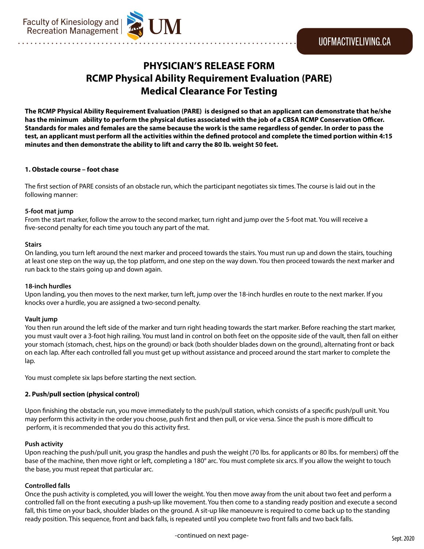# **PHYSICIAN'S RELEASE FORM RCMP Physical Ability Requirement Evaluation (PARE) Medical Clearance For Testing**

**The RCMP Physical Ability Requirement Evaluation (PARE) is designed so that an applicant can demonstrate that he/she has the minimum ability to perform the physical duties associated with the job of a CBSA RCMP Conservation Officer. Standards for males and females are the same because the work is the same regardless of gender. In order to pass the test, an applicant must perform all the activities within the defined protocol and complete the timed portion within 4:15 minutes and then demonstrate the ability to lift and carry the 80 lb. weight 50 feet.**

### **1. Obstacle course – foot chase**

The first section of PARE consists of an obstacle run, which the participant negotiates six times. The course is laid out in the following manner:

### **5-foot mat jump**

From the start marker, follow the arrow to the second marker, turn right and jump over the 5-foot mat. You will receive a five-second penalty for each time you touch any part of the mat.

#### **Stairs**

On landing, you turn left around the next marker and proceed towards the stairs. You must run up and down the stairs, touching at least one step on the way up, the top platform, and one step on the way down. You then proceed towards the next marker and run back to the stairs going up and down again.

### **18-inch hurdles**

Upon landing, you then moves to the next marker, turn left, jump over the 18-inch hurdles en route to the next marker. If you knocks over a hurdle, you are assigned a two-second penalty.

### **Vault jump**

You then run around the left side of the marker and turn right heading towards the start marker. Before reaching the start marker, you must vault over a 3-foot high railing. You must land in control on both feet on the opposite side of the vault, then fall on either your stomach (stomach, chest, hips on the ground) or back (both shoulder blades down on the ground), alternating front or back on each lap. After each controlled fall you must get up without assistance and proceed around the start marker to complete the lap.

You must complete six laps before starting the next section.

### **2. Push/pull section (physical control)**

Upon finishing the obstacle run, you move immediately to the push/pull station, which consists of a specific push/pull unit. You may perform this activity in the order you choose, push first and then pull, or vice versa. Since the push is more difficult to perform, it is recommended that you do this activity first.

### **Push activity**

Upon reaching the push/pull unit, you grasp the handles and push the weight (70 lbs. for applicants or 80 lbs. for members) off the base of the machine, then move right or left, completing a 180° arc. You must complete six arcs. If you allow the weight to touch the base, you must repeat that particular arc.

### **Controlled falls**

Once the push activity is completed, you will lower the weight. You then move away from the unit about two feet and perform a controlled fall on the front executing a push-up like movement. You then come to a standing ready position and execute a second fall, this time on your back, shoulder blades on the ground. A sit-up like manoeuvre is required to come back up to the standing ready position. This sequence, front and back falls, is repeated until you complete two front falls and two back falls.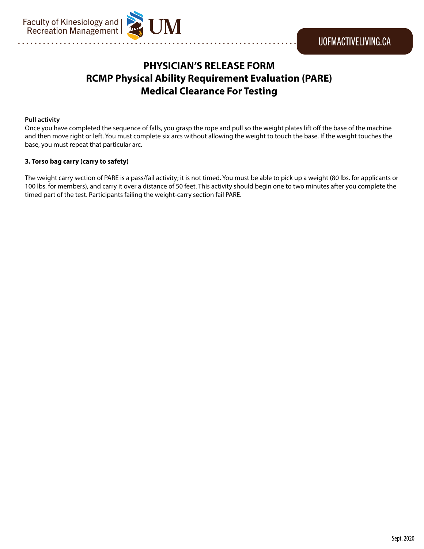# **PHYSICIAN'S RELEASE FORM RCMP Physical Ability Requirement Evaluation (PARE) Medical Clearance For Testing**

#### **Pull activity**

Once you have completed the sequence of falls, you grasp the rope and pull so the weight plates lift off the base of the machine and then move right or left. You must complete six arcs without allowing the weight to touch the base. If the weight touches the base, you must repeat that particular arc.

#### **3. Torso bag carry (carry to safety)**

The weight carry section of PARE is a pass/fail activity; it is not timed. You must be able to pick up a weight (80 lbs. for applicants or 100 lbs. for members), and carry it over a distance of 50 feet. This activity should begin one to two minutes after you complete the timed part of the test. Participants failing the weight-carry section fail PARE.